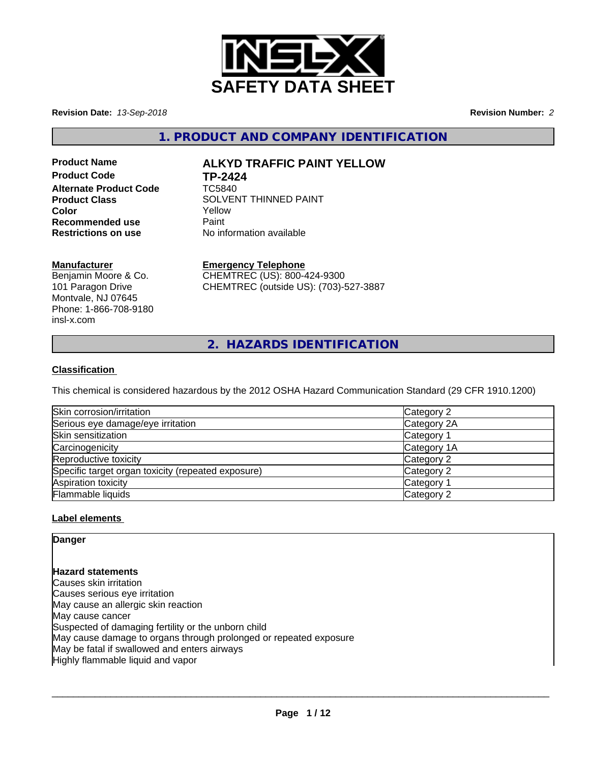

**Revision Date:** *13-Sep-2018* **Revision Number:** *2*

**1. PRODUCT AND COMPANY IDENTIFICATION**

# **Product Code TP-2424 Alternate Product Code** TC5840 **Recommended use** Paint<br> **Restrictions on use** No inf

# **Product Name ALKYD TRAFFIC PAINT YELLOW**

**Product Class** SOLVENT THINNED PAINT **Color** Yellow **Restrictions on use** No information available

#### **Manufacturer**

Benjamin Moore & Co. 101 Paragon Drive Montvale, NJ 07645 Phone: 1-866-708-9180 insl-x.com

## **Emergency Telephone**

CHEMTREC (US): 800-424-9300 CHEMTREC (outside US): (703)-527-3887

**2. HAZARDS IDENTIFICATION**

## **Classification**

This chemical is considered hazardous by the 2012 OSHA Hazard Communication Standard (29 CFR 1910.1200)

| Skin corrosion/irritation                          | Category 2  |
|----------------------------------------------------|-------------|
| Serious eye damage/eye irritation                  | Category 2A |
| Skin sensitization                                 | Category 1  |
| Carcinogenicity                                    | Category 1A |
| Reproductive toxicity                              | Category 2  |
| Specific target organ toxicity (repeated exposure) | Category 2  |
| Aspiration toxicity                                | Category 1  |
| Flammable liquids                                  | Category 2  |

#### **Label elements**

**Danger**

**Hazard statements** Causes skin irritation Causes serious eye irritation May cause an allergic skin reaction May cause cancer Suspected of damaging fertility or the unborn child May cause damage to organs through prolonged or repeated exposure May be fatal if swallowed and enters airways Highly flammable liquid and vapor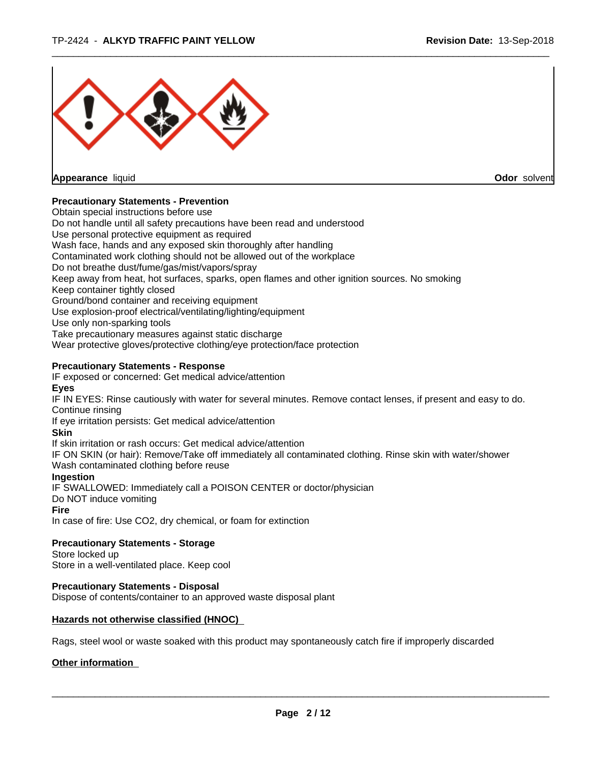

**Appearance** liquid **Odor** solvent

#### **Precautionary Statements - Prevention**

Obtain special instructions before use Do not handle until all safety precautions have been read and understood Use personal protective equipment as required Wash face, hands and any exposed skin thoroughly after handling Contaminated work clothing should not be allowed out of the workplace Do not breathe dust/fume/gas/mist/vapors/spray Keep away from heat, hot surfaces, sparks, open flames and other ignition sources. No smoking Keep container tightly closed Ground/bond container and receiving equipment Use explosion-proof electrical/ventilating/lighting/equipment Use only non-sparking tools Take precautionary measures against static discharge Wear protective gloves/protective clothing/eye protection/face protection **Precautionary Statements - Response** IF exposed or concerned: Get medical advice/attention **Eyes** IF IN EYES: Rinse cautiously with water forseveral minutes. Remove contact lenses, if present and easy to do. Continue rinsing If eye irritation persists: Get medical advice/attention **Skin** If skin irritation or rash occurs: Get medical advice/attention

IF ON SKIN (or hair): Remove/Take off immediately all contaminated clothing. Rinse skin with water/shower Wash contaminated clothing before reuse

#### **Ingestion**

IF SWALLOWED: Immediately call a POISON CENTER or doctor/physician Do NOT induce vomiting

#### **Fire**

In case of fire: Use CO2, dry chemical, or foam for extinction

## **Precautionary Statements - Storage**

Store locked up Store in a well-ventilated place. Keep cool

## **Precautionary Statements - Disposal**

Dispose of contents/container to an approved waste disposal plant

## **Hazards not otherwise classified (HNOC)**

Rags, steel wool or waste soaked with this product may spontaneously catch fire if improperly discarded

## **Other information**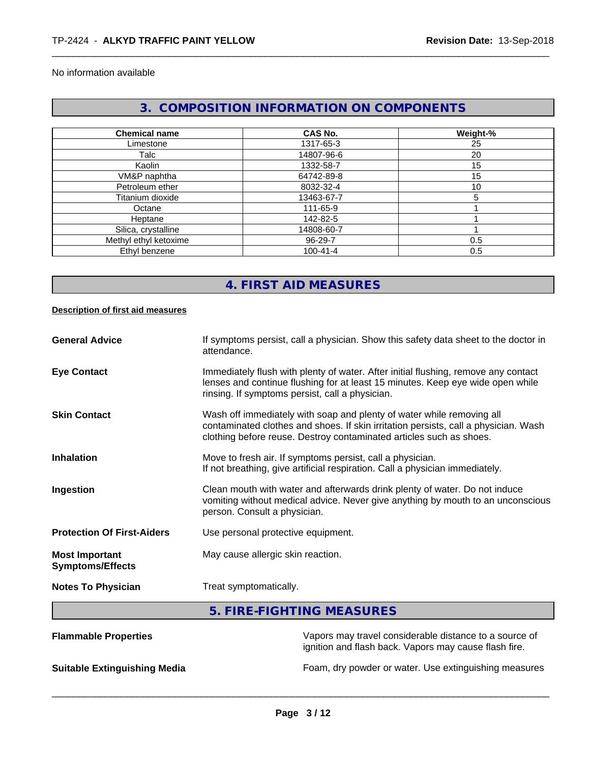#### No information available

# **3. COMPOSITION INFORMATION ON COMPONENTS**

| <b>Chemical name</b>  | <b>CAS No.</b> | Weight-% |
|-----------------------|----------------|----------|
| Limestone             | 1317-65-3      | 25       |
| Talc                  | 14807-96-6     | 20       |
| Kaolin                | 1332-58-7      | 15       |
| VM&P naphtha          | 64742-89-8     | 15       |
| Petroleum ether       | 8032-32-4      | 10       |
| Titanium dioxide      | 13463-67-7     | 5        |
| Octane                | 111-65-9       |          |
| Heptane               | 142-82-5       |          |
| Silica, crystalline   | 14808-60-7     |          |
| Methyl ethyl ketoxime | 96-29-7        | 0.5      |
| Ethyl benzene         | $100 - 41 - 4$ | 0.5      |

## **4. FIRST AID MEASURES**

#### **Description of first aid measures**

| <b>General Advice</b>                            | If symptoms persist, call a physician. Show this safety data sheet to the doctor in<br>attendance.                                                                                                                                  |
|--------------------------------------------------|-------------------------------------------------------------------------------------------------------------------------------------------------------------------------------------------------------------------------------------|
| <b>Eye Contact</b>                               | Immediately flush with plenty of water. After initial flushing, remove any contact<br>lenses and continue flushing for at least 15 minutes. Keep eye wide open while<br>rinsing. If symptoms persist, call a physician.             |
| <b>Skin Contact</b>                              | Wash off immediately with soap and plenty of water while removing all<br>contaminated clothes and shoes. If skin irritation persists, call a physician. Wash<br>clothing before reuse. Destroy contaminated articles such as shoes. |
| <b>Inhalation</b>                                | Move to fresh air. If symptoms persist, call a physician.<br>If not breathing, give artificial respiration. Call a physician immediately.                                                                                           |
| Ingestion                                        | Clean mouth with water and afterwards drink plenty of water. Do not induce<br>vomiting without medical advice. Never give anything by mouth to an unconscious<br>person. Consult a physician.                                       |
| <b>Protection Of First-Aiders</b>                | Use personal protective equipment.                                                                                                                                                                                                  |
| <b>Most Important</b><br><b>Symptoms/Effects</b> | May cause allergic skin reaction.                                                                                                                                                                                                   |
| <b>Notes To Physician</b>                        | Treat symptomatically.                                                                                                                                                                                                              |
|                                                  | E FIDE FIQUEINO ME ACUDEC                                                                                                                                                                                                           |

#### **5. FIRE-FIGHTING MEASURES**

| <b>Flammable Properties</b>         | Vapors may travel considerable distance to a source of<br>ignition and flash back. Vapors may cause flash fire. |
|-------------------------------------|-----------------------------------------------------------------------------------------------------------------|
| <b>Suitable Extinguishing Media</b> | Foam, dry powder or water. Use extinguishing measures                                                           |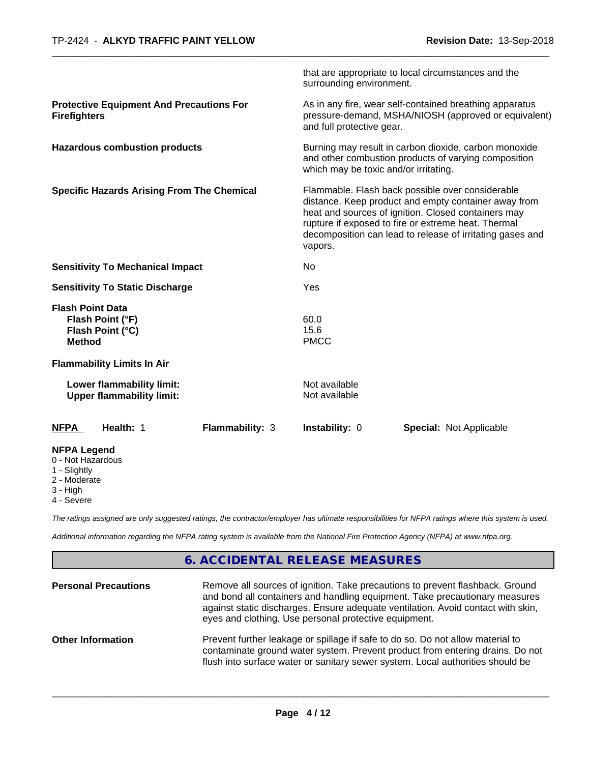|                                                                                  | that are appropriate to local circumstances and the<br>surrounding environment.                                                                                                                                                                                                                |  |
|----------------------------------------------------------------------------------|------------------------------------------------------------------------------------------------------------------------------------------------------------------------------------------------------------------------------------------------------------------------------------------------|--|
| <b>Protective Equipment And Precautions For</b><br><b>Firefighters</b>           | As in any fire, wear self-contained breathing apparatus<br>pressure-demand, MSHA/NIOSH (approved or equivalent)<br>and full protective gear.                                                                                                                                                   |  |
| <b>Hazardous combustion products</b>                                             | Burning may result in carbon dioxide, carbon monoxide<br>and other combustion products of varying composition<br>which may be toxic and/or irritating.                                                                                                                                         |  |
| <b>Specific Hazards Arising From The Chemical</b>                                | Flammable. Flash back possible over considerable<br>distance. Keep product and empty container away from<br>heat and sources of ignition. Closed containers may<br>rupture if exposed to fire or extreme heat. Thermal<br>decomposition can lead to release of irritating gases and<br>vapors. |  |
| <b>Sensitivity To Mechanical Impact</b>                                          | No                                                                                                                                                                                                                                                                                             |  |
| <b>Sensitivity To Static Discharge</b>                                           | Yes                                                                                                                                                                                                                                                                                            |  |
| <b>Flash Point Data</b><br>Flash Point (°F)<br>Flash Point (°C)<br><b>Method</b> | 60.0<br>15.6<br><b>PMCC</b>                                                                                                                                                                                                                                                                    |  |
| <b>Flammability Limits In Air</b>                                                |                                                                                                                                                                                                                                                                                                |  |
| Lower flammability limit:<br><b>Upper flammability limit:</b>                    | Not available<br>Not available                                                                                                                                                                                                                                                                 |  |
| Health: 1<br><b>NFPA</b><br>Flammability: 3                                      | Instability: 0<br><b>Special: Not Applicable</b>                                                                                                                                                                                                                                               |  |
| <b>NFPA Legend</b><br>0 - Not Hazardous<br>1 - Slightly                          |                                                                                                                                                                                                                                                                                                |  |

- 
- 2 Moderate
- 3 High
- 4 Severe

*The ratings assigned are only suggested ratings, the contractor/employer has ultimate responsibilities for NFPA ratings where this system is used.*

*Additional information regarding the NFPA rating system is available from the National Fire Protection Agency (NFPA) at www.nfpa.org.*

## **6. ACCIDENTAL RELEASE MEASURES**

| <b>Personal Precautions</b> | Remove all sources of ignition. Take precautions to prevent flashback. Ground<br>and bond all containers and handling equipment. Take precautionary measures<br>against static discharges. Ensure adequate ventilation. Avoid contact with skin,<br>eyes and clothing. Use personal protective equipment. |
|-----------------------------|-----------------------------------------------------------------------------------------------------------------------------------------------------------------------------------------------------------------------------------------------------------------------------------------------------------|
| <b>Other Information</b>    | Prevent further leakage or spillage if safe to do so. Do not allow material to<br>contaminate ground water system. Prevent product from entering drains. Do not<br>flush into surface water or sanitary sewer system. Local authorities should be                                                         |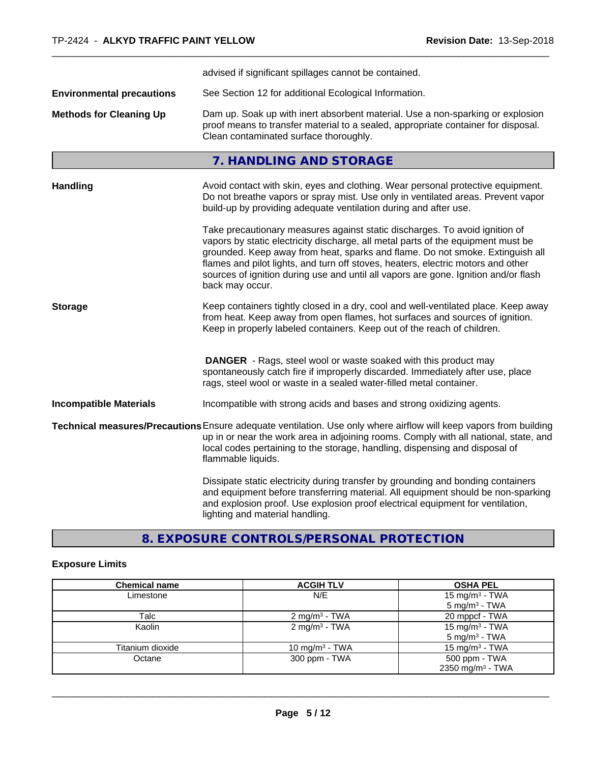|                                  | advised if significant spillages cannot be contained.                                                                                                                                                                                                                                                                                                                                                                                          |
|----------------------------------|------------------------------------------------------------------------------------------------------------------------------------------------------------------------------------------------------------------------------------------------------------------------------------------------------------------------------------------------------------------------------------------------------------------------------------------------|
| <b>Environmental precautions</b> | See Section 12 for additional Ecological Information.                                                                                                                                                                                                                                                                                                                                                                                          |
| <b>Methods for Cleaning Up</b>   | Dam up. Soak up with inert absorbent material. Use a non-sparking or explosion<br>proof means to transfer material to a sealed, appropriate container for disposal.<br>Clean contaminated surface thoroughly.                                                                                                                                                                                                                                  |
|                                  | 7. HANDLING AND STORAGE                                                                                                                                                                                                                                                                                                                                                                                                                        |
| <b>Handling</b>                  | Avoid contact with skin, eyes and clothing. Wear personal protective equipment.<br>Do not breathe vapors or spray mist. Use only in ventilated areas. Prevent vapor<br>build-up by providing adequate ventilation during and after use.                                                                                                                                                                                                        |
|                                  | Take precautionary measures against static discharges. To avoid ignition of<br>vapors by static electricity discharge, all metal parts of the equipment must be<br>grounded. Keep away from heat, sparks and flame. Do not smoke. Extinguish all<br>flames and pilot lights, and turn off stoves, heaters, electric motors and other<br>sources of ignition during use and until all vapors are gone. Ignition and/or flash<br>back may occur. |
| <b>Storage</b>                   | Keep containers tightly closed in a dry, cool and well-ventilated place. Keep away<br>from heat. Keep away from open flames, hot surfaces and sources of ignition.<br>Keep in properly labeled containers. Keep out of the reach of children.                                                                                                                                                                                                  |
|                                  | <b>DANGER</b> - Rags, steel wool or waste soaked with this product may<br>spontaneously catch fire if improperly discarded. Immediately after use, place<br>rags, steel wool or waste in a sealed water-filled metal container.                                                                                                                                                                                                                |
| <b>Incompatible Materials</b>    | Incompatible with strong acids and bases and strong oxidizing agents.                                                                                                                                                                                                                                                                                                                                                                          |
|                                  | Technical measures/Precautions Ensure adequate ventilation. Use only where airflow will keep vapors from building<br>up in or near the work area in adjoining rooms. Comply with all national, state, and<br>local codes pertaining to the storage, handling, dispensing and disposal of<br>flammable liquids.                                                                                                                                 |
|                                  | Dissipate static electricity during transfer by grounding and bonding containers<br>and equipment before transferring material. All equipment should be non-sparking<br>and explosion proof. Use explosion proof electrical equipment for ventilation,<br>lighting and material handling.                                                                                                                                                      |

**8. EXPOSURE CONTROLS/PERSONAL PROTECTION**

## **Exposure Limits**

| <b>Chemical name</b> | <b>ACGIH TLV</b>         | <b>OSHA PEL</b>              |
|----------------------|--------------------------|------------------------------|
| Limestone            | N/E                      | 15 mg/m <sup>3</sup> - TWA   |
|                      |                          | $5 \text{ mg/m}^3$ - TWA     |
| Talc                 | $2 \text{ mg/m}^3$ - TWA | 20 mppcf - TWA               |
| Kaolin               | $2 \text{ mg/m}^3$ - TWA | 15 mg/m <sup>3</sup> - TWA   |
|                      |                          | $5 \text{ mg/m}^3$ - TWA     |
| Titanium dioxide     | 10 mg/m $3$ - TWA        | $15 \text{ mg/m}^3$ - TWA    |
| Octane               | 300 ppm - TWA            | 500 ppm - TWA                |
|                      |                          | 2350 mg/m <sup>3</sup> - TWA |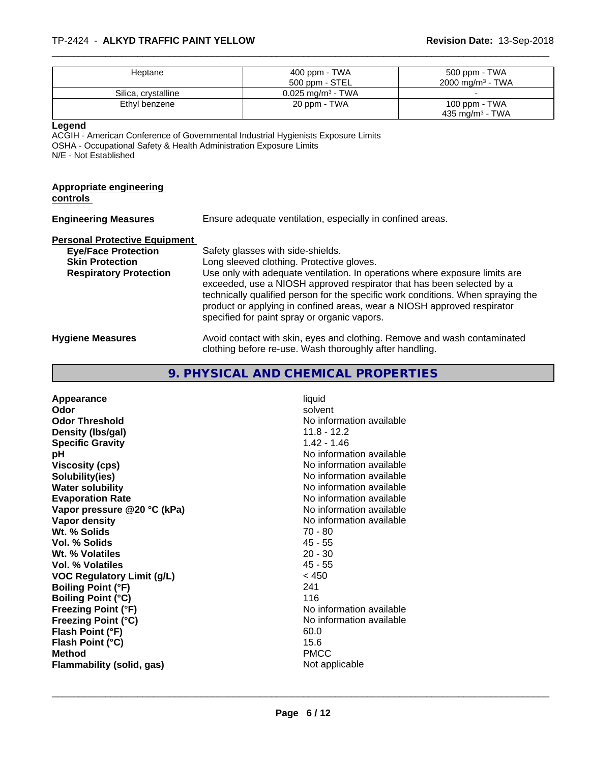#### \_\_\_\_\_\_\_\_\_\_\_\_\_\_\_\_\_\_\_\_\_\_\_\_\_\_\_\_\_\_\_\_\_\_\_\_\_\_\_\_\_\_\_\_\_\_\_\_\_\_\_\_\_\_\_\_\_\_\_\_\_\_\_\_\_\_\_\_\_\_\_\_\_\_\_\_\_\_\_\_\_\_\_\_\_\_\_\_\_\_\_\_\_ TP-2424 - **ALKYD TRAFFIC PAINT YELLOW Revision Date:** 13-Sep-2018

| Heptane             | 400 ppm - TWA<br>500 ppm - STEL | 500 ppm - TWA<br>$2000 \text{ mg/m}^3$ - TWA |
|---------------------|---------------------------------|----------------------------------------------|
| Silica, crystalline | $0.025$ mg/m <sup>3</sup> - TWA |                                              |
| Ethyl benzene       | 20 ppm - TWA                    | 100 ppm - TWA<br>435 mg/m <sup>3</sup> - TWA |

**Legend**

ACGIH - American Conference of Governmental Industrial Hygienists Exposure Limits OSHA - Occupational Safety & Health Administration Exposure Limits N/E - Not Established

# **Appropriate engineering**

**controls** 

| <b>Engineering Measures</b>          | Ensure adequate ventilation, especially in confined areas.                                                                                                                                                                                                                                                                                                          |
|--------------------------------------|---------------------------------------------------------------------------------------------------------------------------------------------------------------------------------------------------------------------------------------------------------------------------------------------------------------------------------------------------------------------|
| <b>Personal Protective Equipment</b> |                                                                                                                                                                                                                                                                                                                                                                     |
| <b>Eye/Face Protection</b>           | Safety glasses with side-shields.                                                                                                                                                                                                                                                                                                                                   |
| <b>Skin Protection</b>               | Long sleeved clothing. Protective gloves.                                                                                                                                                                                                                                                                                                                           |
| <b>Respiratory Protection</b>        | Use only with adequate ventilation. In operations where exposure limits are<br>exceeded, use a NIOSH approved respirator that has been selected by a<br>technically qualified person for the specific work conditions. When spraying the<br>product or applying in confined areas, wear a NIOSH approved respirator<br>specified for paint spray or organic vapors. |
| <b>Hygiene Measures</b>              | Avoid contact with skin, eyes and clothing. Remove and wash contaminated                                                                                                                                                                                                                                                                                            |

clothing before re-use. Wash thoroughly after handling.

## **9. PHYSICAL AND CHEMICAL PROPERTIES**

| Appearance                        | liquid                   |
|-----------------------------------|--------------------------|
| Odor                              | solvent                  |
| <b>Odor Threshold</b>             | No information available |
| Density (Ibs/gal)                 | $11.8 - 12.2$            |
| <b>Specific Gravity</b>           | $1.42 - 1.46$            |
| рH                                | No information available |
| Viscosity (cps)                   | No information available |
| Solubility(ies)                   | No information available |
| <b>Water solubility</b>           | No information available |
| <b>Evaporation Rate</b>           | No information available |
| Vapor pressure @20 °C (kPa)       | No information available |
| Vapor density                     | No information available |
| Wt. % Solids                      | $70 - 80$                |
| Vol. % Solids                     | $45 - 55$                |
| Wt. % Volatiles                   | $20 - 30$                |
| Vol. % Volatiles                  | $45 - 55$                |
| <b>VOC Regulatory Limit (g/L)</b> | < 450                    |
| <b>Boiling Point (°F)</b>         | 241                      |
| <b>Boiling Point (°C)</b>         | 116                      |
| <b>Freezing Point (°F)</b>        | No information available |
| <b>Freezing Point (°C)</b>        | No information available |
| Flash Point (°F)                  | 60.0                     |
| Flash Point (°C)                  | 15.6                     |
| <b>Method</b>                     | <b>PMCC</b>              |
| Flammability (solid, gas)         | Not applicable           |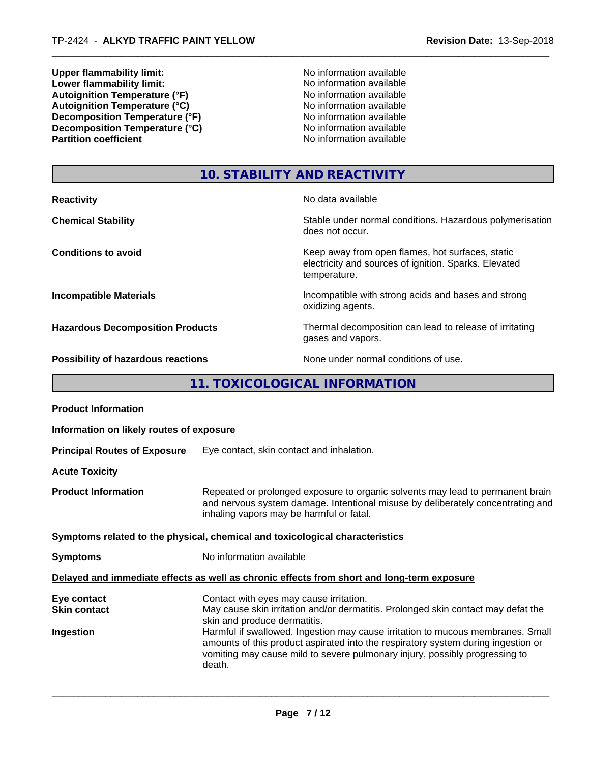**Upper flammability limit:**<br> **Lower flammability limit:**<br> **Lower flammability limit:**<br>
No information available **Lower flammability limit:**<br> **Autoignition Temperature (°F)**<br>
Mo information available<br>
No information available Autoignition Temperature (°F)<br>
Autoignition Temperature (°C)<br>
No information available<br>
No information available Autoignition **Temperature** (°C) Mo information available<br>Decomposition **Temperature** (°F) No information available **Decomposition Temperature (°F)**<br> **Decomposition Temperature (°C)**<br>
No information available<br>
No information available **Decomposition Temperature (°C)**<br>Partition coefficient

**No information available** 

## **10. STABILITY AND REACTIVITY**

| <b>Reactivity</b>                         | No data available                                                                                                         |
|-------------------------------------------|---------------------------------------------------------------------------------------------------------------------------|
| <b>Chemical Stability</b>                 | Stable under normal conditions. Hazardous polymerisation<br>does not occur.                                               |
| <b>Conditions to avoid</b>                | Keep away from open flames, hot surfaces, static<br>electricity and sources of ignition. Sparks. Elevated<br>temperature. |
| <b>Incompatible Materials</b>             | Incompatible with strong acids and bases and strong<br>oxidizing agents.                                                  |
| <b>Hazardous Decomposition Products</b>   | Thermal decomposition can lead to release of irritating<br>gases and vapors.                                              |
| <b>Possibility of hazardous reactions</b> | None under normal conditions of use.                                                                                      |

**11. TOXICOLOGICAL INFORMATION**

| <b>Product Information</b>               |                                                                                                                                                                                                               |
|------------------------------------------|---------------------------------------------------------------------------------------------------------------------------------------------------------------------------------------------------------------|
| Information on likely routes of exposure |                                                                                                                                                                                                               |
| <b>Principal Routes of Exposure</b>      | Eye contact, skin contact and inhalation.                                                                                                                                                                     |
| <b>Acute Toxicity</b>                    |                                                                                                                                                                                                               |
| <b>Product Information</b>               | Repeated or prolonged exposure to organic solvents may lead to permanent brain<br>and nervous system damage. Intentional misuse by deliberately concentrating and<br>inhaling vapors may be harmful or fatal. |
|                                          | Symptoms related to the physical, chemical and toxicological characteristics                                                                                                                                  |
| <b>Symptoms</b>                          | No information available                                                                                                                                                                                      |
|                                          | Delayed and immediate effects as well as chronic effects from short and long-term exposure                                                                                                                    |
| Eye contact<br><b>Skin contact</b>       | Contact with eyes may cause irritation.<br>May cause skin irritation and/or dermatitis. Prolonged skin contact may defat the                                                                                  |
| Ingestion                                | skin and produce dermatitis.<br>Harmful if swallowed. Ingestion may cause irritation to mucous membranes. Small                                                                                               |
|                                          | amounts of this product aspirated into the respiratory system during ingestion or<br>vomiting may cause mild to severe pulmonary injury, possibly progressing to<br>death.                                    |
|                                          |                                                                                                                                                                                                               |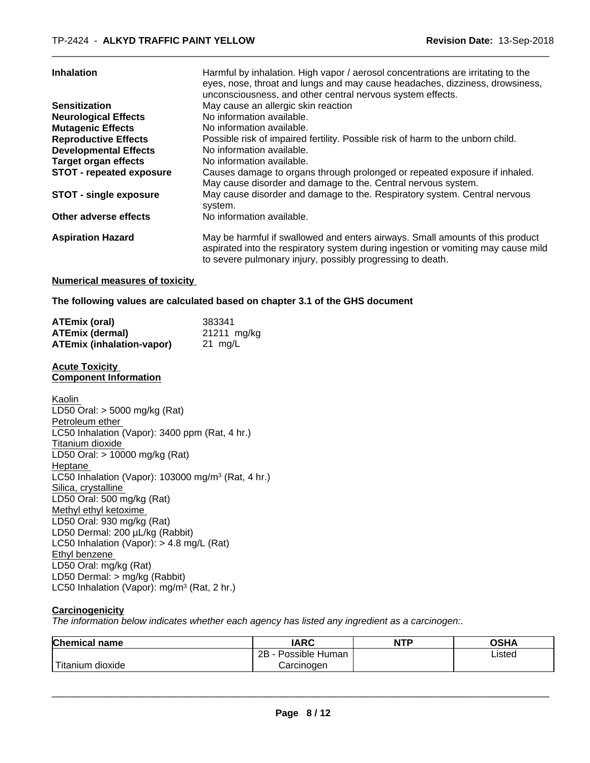| <b>Inhalation</b>               | Harmful by inhalation. High vapor / aerosol concentrations are irritating to the<br>eyes, nose, throat and lungs and may cause headaches, dizziness, drowsiness,<br>unconsciousness, and other central nervous system effects.   |
|---------------------------------|----------------------------------------------------------------------------------------------------------------------------------------------------------------------------------------------------------------------------------|
| <b>Sensitization</b>            | May cause an allergic skin reaction                                                                                                                                                                                              |
| <b>Neurological Effects</b>     | No information available.                                                                                                                                                                                                        |
| <b>Mutagenic Effects</b>        | No information available.                                                                                                                                                                                                        |
| <b>Reproductive Effects</b>     | Possible risk of impaired fertility. Possible risk of harm to the unborn child.                                                                                                                                                  |
| <b>Developmental Effects</b>    | No information available.                                                                                                                                                                                                        |
| <b>Target organ effects</b>     | No information available.                                                                                                                                                                                                        |
| <b>STOT - repeated exposure</b> | Causes damage to organs through prolonged or repeated exposure if inhaled.<br>May cause disorder and damage to the. Central nervous system.                                                                                      |
| <b>STOT - single exposure</b>   | May cause disorder and damage to the. Respiratory system. Central nervous<br>system.                                                                                                                                             |
| Other adverse effects           | No information available.                                                                                                                                                                                                        |
| <b>Aspiration Hazard</b>        | May be harmful if swallowed and enters airways. Small amounts of this product<br>aspirated into the respiratory system during ingestion or vomiting may cause mild<br>to severe pulmonary injury, possibly progressing to death. |

#### **Numerical measures of toxicity**

**The following values are calculated based on chapter 3.1 of the GHS document**

| ATEmix (oral)                    | 383341      |
|----------------------------------|-------------|
| <b>ATEmix (dermal)</b>           | 21211 mg/kg |
| <b>ATEmix (inhalation-vapor)</b> | 21 mg/L     |

#### **Acute Toxicity Component Information**

Kaolin LD50 Oral: > 5000 mg/kg (Rat) Petroleum ether LC50 Inhalation (Vapor): 3400 ppm (Rat, 4 hr.) Titanium dioxide LD50 Oral: > 10000 mg/kg (Rat) Heptane LC50 Inhalation (Vapor): 103000 mg/m<sup>3</sup> (Rat, 4 hr.) Silica, crystalline LD50 Oral: 500 mg/kg (Rat) Methyl ethyl ketoxime LD50 Oral: 930 mg/kg (Rat) LD50 Dermal: 200 µL/kg (Rabbit) LC50 Inhalation (Vapor): > 4.8 mg/L (Rat) Ethyl benzene LD50 Oral: mg/kg (Rat) LD50 Dermal: > mg/kg (Rabbit) LC50 Inhalation (Vapor): mg/m<sup>3</sup> (Rat, 2 hr.)

#### **Carcinogenicity**

*The information below indicateswhether each agency has listed any ingredient as a carcinogen:.*

| <b>Chemical name</b>          | <b>IARC</b>                 | <b>NTP</b> | <b>OSHA</b> |  |
|-------------------------------|-----------------------------|------------|-------------|--|
|                               | . .<br>2B<br>Possible Human |            | Listed      |  |
| .<br>.n dioxide l<br>Titanium | Carcinoɑen                  |            |             |  |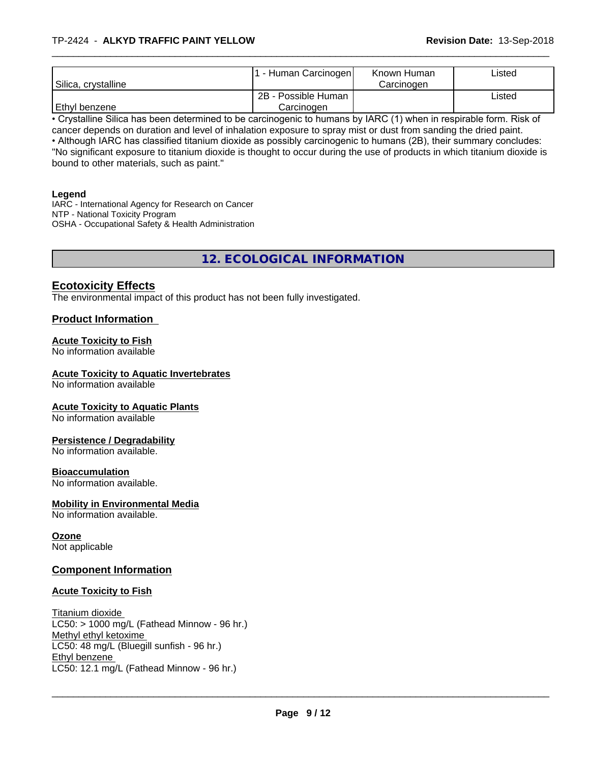|                                  | . - Human Carcinogen | Known Human | Listed |  |
|----------------------------------|----------------------|-------------|--------|--|
| <sup>I</sup> Silica, crystalline |                      | Carcinoɑen  |        |  |
|                                  | 2B - Possible Human  |             | Listed |  |
| Ethyl benzene                    | Carcinogen           |             |        |  |

• Crystalline Silica has been determined to be carcinogenic to humans by IARC (1) when in respirable form. Risk of cancer depends on duration and level of inhalation exposure to spray mist or dust from sanding the dried paint.• Although IARC has classified titanium dioxide as possibly carcinogenic to humans (2B), their summary concludes: "No significant exposure to titanium dioxide is thought to occur during the use of products in which titanium dioxide is bound to other materials, such as paint."

#### **Legend**

IARC - International Agency for Research on Cancer NTP - National Toxicity Program OSHA - Occupational Safety & Health Administration

## **12. ECOLOGICAL INFORMATION**

## **Ecotoxicity Effects**

The environmental impact of this product has not been fully investigated.

#### **Product Information**

#### **Acute Toxicity to Fish**

No information available

#### **Acute Toxicity to Aquatic Invertebrates**

No information available

#### **Acute Toxicity to Aquatic Plants**

No information available

#### **Persistence / Degradability**

No information available.

#### **Bioaccumulation**

No information available.

#### **Mobility in Environmental Media**

No information available.

#### **Ozone**

Not applicable

#### **Component Information**

#### **Acute Toxicity to Fish**

Titanium dioxide  $LC50:$  > 1000 mg/L (Fathead Minnow - 96 hr.) Methyl ethyl ketoxime LC50: 48 mg/L (Bluegill sunfish - 96 hr.) Ethyl benzene \_\_\_\_\_\_\_\_\_\_\_\_\_\_\_\_\_\_\_\_\_\_\_\_\_\_\_\_\_\_\_\_\_\_\_\_\_\_\_\_\_\_\_\_\_\_\_\_\_\_\_\_\_\_\_\_\_\_\_\_\_\_\_\_\_\_\_\_\_\_\_\_\_\_\_\_\_\_\_\_\_\_\_\_\_\_\_\_\_\_\_\_\_ LC50: 12.1 mg/L (Fathead Minnow - 96 hr.)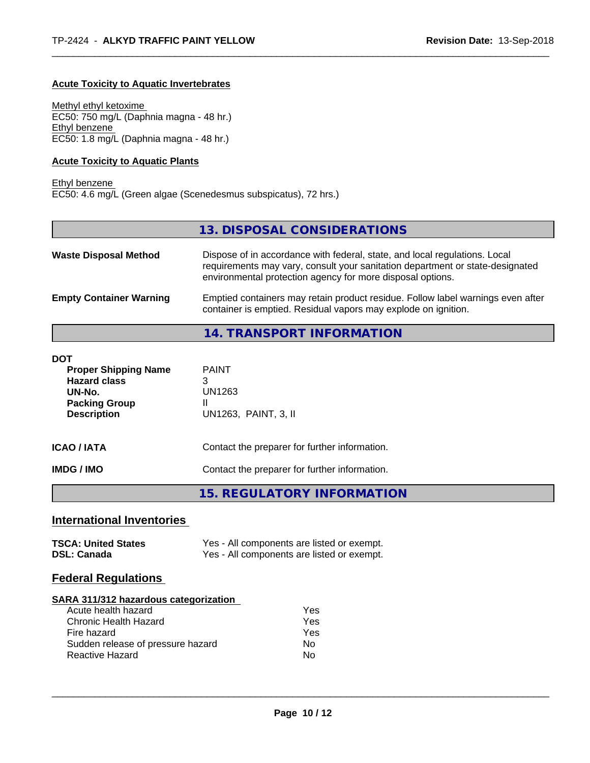#### **Acute Toxicity to Aquatic Invertebrates**

Methyl ethyl ketoxime EC50: 750 mg/L (Daphnia magna - 48 hr.) Ethyl benzene EC50: 1.8 mg/L (Daphnia magna - 48 hr.)

#### **Acute Toxicity to Aquatic Plants**

Ethyl benzene EC50: 4.6 mg/L (Green algae (Scenedesmus subspicatus), 72 hrs.)

## **13. DISPOSAL CONSIDERATIONS**

| <b>Waste Disposal Method</b>   | Dispose of in accordance with federal, state, and local regulations. Local<br>requirements may vary, consult your sanitation department or state-designated<br>environmental protection agency for more disposal options. |
|--------------------------------|---------------------------------------------------------------------------------------------------------------------------------------------------------------------------------------------------------------------------|
| <b>Empty Container Warning</b> | Emptied containers may retain product residue. Follow label warnings even after<br>container is emptied. Residual vapors may explode on ignition.                                                                         |

## **14. TRANSPORT INFORMATION**

| <b>DOT</b><br><b>Proper Shipping Name</b><br><b>Hazard class</b><br>UN-No.<br><b>Packing Group</b><br><b>Description</b> | <b>PAINT</b><br>3<br>UN1263<br>Ш<br>UN1263, PAINT, 3, II |  |  |
|--------------------------------------------------------------------------------------------------------------------------|----------------------------------------------------------|--|--|
| <b>ICAO / IATA</b>                                                                                                       | Contact the preparer for further information.            |  |  |
| <b>IMDG/IMO</b>                                                                                                          | Contact the preparer for further information.            |  |  |
|                                                                                                                          | 15. REGULATORY INFORMATION                               |  |  |

## **International Inventories**

| <b>TSCA: United States</b> | Yes - All components are listed or exempt. |
|----------------------------|--------------------------------------------|
| <b>DSL: Canada</b>         | Yes - All components are listed or exempt. |

#### **Federal Regulations**

#### **SARA 311/312 hazardous categorization**

| Acute health hazard               | Yes |
|-----------------------------------|-----|
| Chronic Health Hazard             | Yes |
| Fire hazard                       | Yes |
| Sudden release of pressure hazard | Nο  |
| Reactive Hazard                   | N٥  |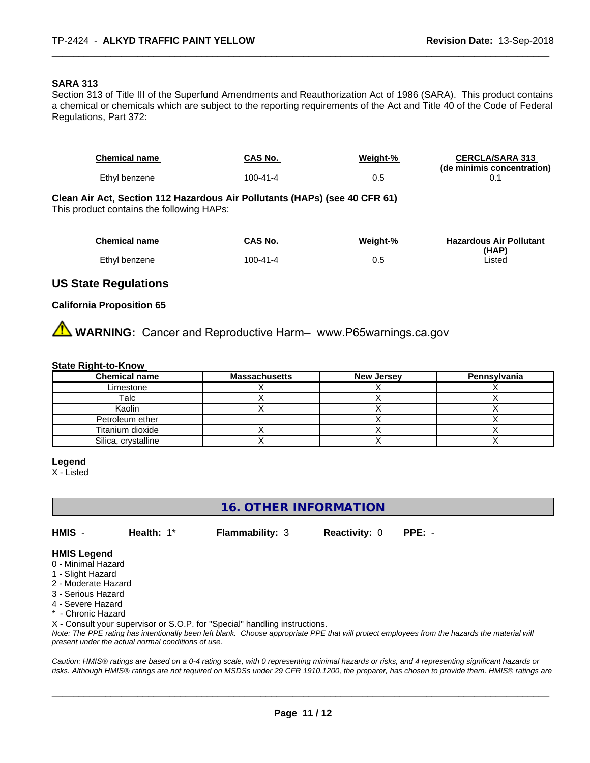#### **SARA 313**

Section 313 of Title III of the Superfund Amendments and Reauthorization Act of 1986 (SARA). This product contains a chemical or chemicals which are subject to the reporting requirements of the Act and Title 40 of the Code of Federal Regulations, Part 372:

| <b>Chemical name</b>                                                                                                    | CAS No.        | Weight-% | <b>CERCLA/SARA 313</b><br>(de minimis concentration) |
|-------------------------------------------------------------------------------------------------------------------------|----------------|----------|------------------------------------------------------|
| Ethyl benzene                                                                                                           | $100 - 41 - 4$ | 0.5      | 0.1                                                  |
| Clean Air Act, Section 112 Hazardous Air Pollutants (HAPs) (see 40 CFR 61)<br>This product contains the following HAPs: |                |          |                                                      |
| <b>Chemical name</b>                                                                                                    | CAS No.        | Weight-% | <b>Hazardous Air Pollutant</b>                       |
| Ethyl benzene                                                                                                           | $100 - 41 - 4$ | 0.5      | (HAP)<br>Listed                                      |
|                                                                                                                         |                |          |                                                      |

## **US State Regulations**

#### **California Proposition 65**

WARNING: Cancer and Reproductive Harm- www.P65warnings.ca.gov

#### **State Right-to-Know**

| <b>Chemical name</b> | <b>Massachusetts</b> | <b>New Jersey</b> | Pennsylvania |
|----------------------|----------------------|-------------------|--------------|
| Limestone            |                      |                   |              |
| Talc                 |                      |                   |              |
| Kaolin               |                      |                   |              |
| Petroleum ether      |                      |                   |              |
| Titanium dioxide     |                      |                   |              |
| Silica, crystalline  |                      |                   |              |

#### **Legend**

X - Listed

## **16. OTHER INFORMATION**

**HMIS** - **Health:** 1\* **Flammability:** 3 **Reactivity:** 0 **PPE:** -

 $\overline{\phantom{a}}$  ,  $\overline{\phantom{a}}$  ,  $\overline{\phantom{a}}$  ,  $\overline{\phantom{a}}$  ,  $\overline{\phantom{a}}$  ,  $\overline{\phantom{a}}$  ,  $\overline{\phantom{a}}$  ,  $\overline{\phantom{a}}$  ,  $\overline{\phantom{a}}$  ,  $\overline{\phantom{a}}$  ,  $\overline{\phantom{a}}$  ,  $\overline{\phantom{a}}$  ,  $\overline{\phantom{a}}$  ,  $\overline{\phantom{a}}$  ,  $\overline{\phantom{a}}$  ,  $\overline{\phantom{a}}$ 

#### **HMIS Legend**

- 0 Minimal Hazard
- 1 Slight Hazard
- 2 Moderate Hazard
- 3 Serious Hazard
- 4 Severe Hazard
- \* Chronic Hazard

X - Consult your supervisor or S.O.P. for "Special" handling instructions.

*Note: The PPE rating has intentionally been left blank. Choose appropriate PPE that will protect employees from the hazards the material will present under the actual normal conditions of use.*

*Caution: HMISÒ ratings are based on a 0-4 rating scale, with 0 representing minimal hazards or risks, and 4 representing significant hazards or risks. Although HMISÒ ratings are not required on MSDSs under 29 CFR 1910.1200, the preparer, has chosen to provide them. HMISÒ ratings are*